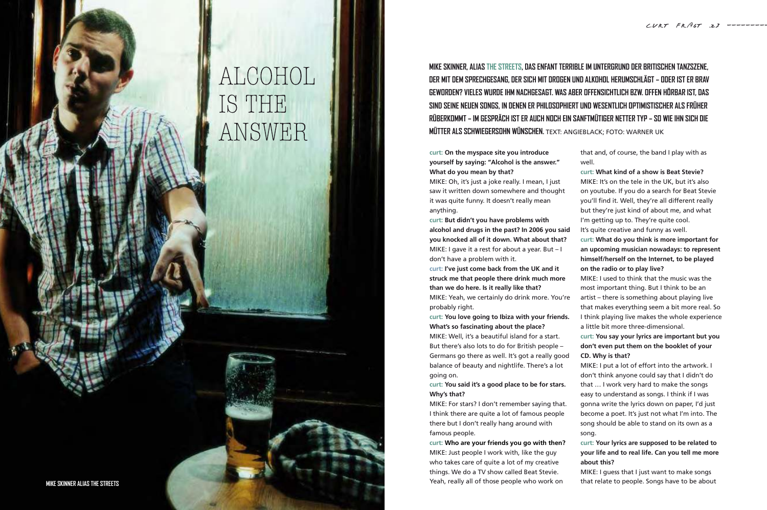## **mike skinner, alias the streets, das enfant terrible im untergrund der britischen tanzszene, der mit dem sprechgesang, der sich mit drogen und alkohol herumschlägt – oder ist er brav geworden? vieles wurde ihm nachgesagt. was aber offensichtlich bzw. offen hörbar ist, das sind seine neuen songs, in denen er philosophiert und wesentlich optimistischer als früher rüberkommt – im gespräch ist er auch noch ein sanftmütiger netter typ – so wie ihn sich die mütter als schwiegersohn wünschen.** TEXT: ANGIEBLACK; FOTO: WARNER UK

**curt: On the myspace site you introduce yourself by saying: "Alcohol is the answer." What do you mean by that?**

MIKE: Oh, it's just a joke really. I mean, I just saw it written down somewhere and thought it was quite funny. It doesn't really mean anything.

**curt: But didn't you have problems with alcohol and drugs in the past? In 2006 you said you knocked all of it down. What about that?** MIKE: I gave it a rest for about a year. But – I don't have a problem with it.

**curt: I've just come back from the UK and it struck me that people there drink much more than we do here. Is it really like that?**  MIKE: Yeah, we certainly do drink more. You're

probably right.

**curt: You love going to Ibiza with your friends. What's so fascinating about the place?** MIKE: Well, it's a beautiful island for a start. But there's also lots to do for British people – Germans go there as well. It's got a really good balance of beauty and nightlife. There's a lot going on.

**curt: You said it's a good place to be for stars. Why's that?**

MIKE: For stars? I don't remember saying that. I think there are quite a lot of famous people there but I don't really hang around with famous people.

**curt: Who are your friends you go with then?** MIKE: Just people I work with, like the guy who takes care of quite a lot of my creative things. We do a TV show called Beat Stevie. Yeah, really all of those people who work on

that and, of course, the band I play with as well.

**curt: What kind of a show is Beat Stevie?**

MIKE: It's on the tele in the UK, but it's also on youtube. If you do a search for Beat Stevie you'll find it. Well, they're all different really but they're just kind of about me, and what I'm getting up to. They're quite cool. It's quite creative and funny as well. **curt: What do you think is more important for an upcoming musician nowadays: to represent himself/herself on the Internet, to be played on the radio or to play live?**

MIKE: I used to think that the music was the most important thing. But I think to be an artist – there is something about playing live that makes everything seem a bit more real. So I think playing live makes the whole experience a little bit more three-dimensional.

**curt: You say your lyrics are important but you don't even put them on the booklet of your CD. Why is that?**

MIKE: I put a lot of effort into the artwork. I don't think anyone could say that I didn't do that … I work very hard to make the songs easy to understand as songs. I think if I was gonna write the lyrics down on paper, I'd just become a poet. It's just not what I'm into. The song should be able to stand on its own as a song.

**curt: Your lyrics are supposed to be related to your life and to real life. Can you tell me more about this?**

MIKE: I guess that I just want to make songs that relate to people. Songs have to be about

# ALCOHOL IS THE ANSWER